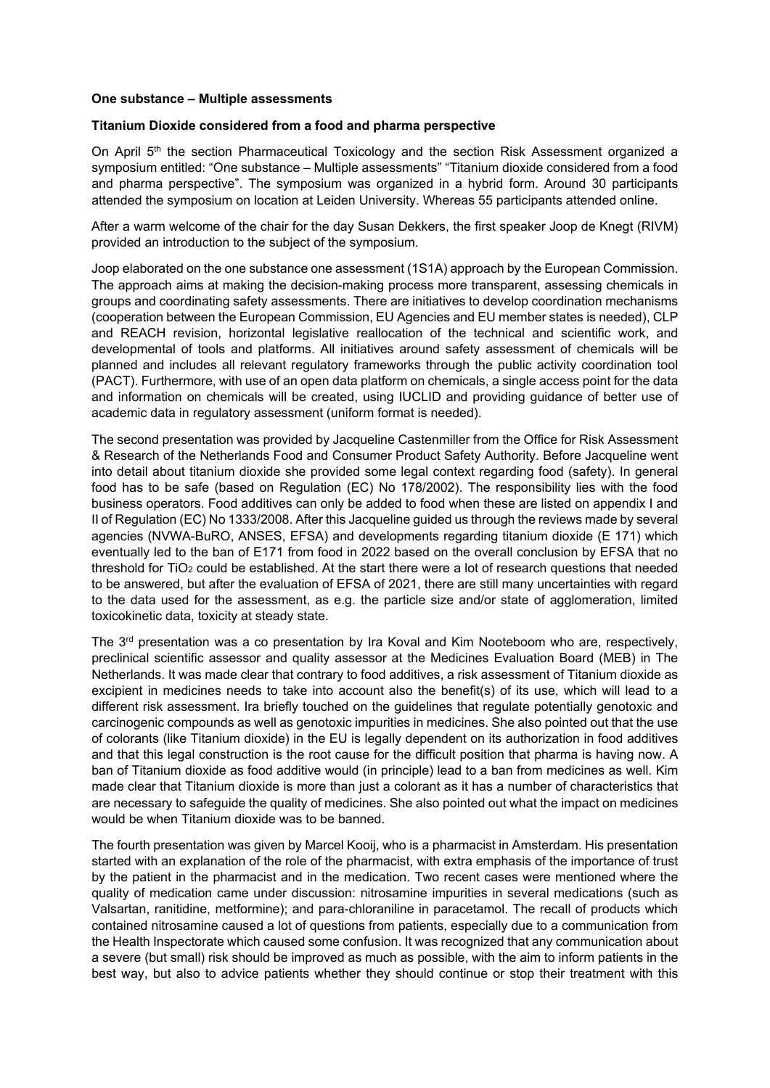## **One substance – Multiple assessments**

## **Titanium Dioxide considered from a food and pharma perspective**

On April 5<sup>th</sup> the section Pharmaceutical Toxicology and the section Risk Assessment organized a symposium entitled: "One substance – Multiple assessments" "Titanium dioxide considered from a food and pharma perspective". The symposium was organized in a hybrid form. Around 30 participants attended the symposium on location at Leiden University. Whereas 55 participants attended online.

After a warm welcome of the chair for the day Susan Dekkers, the first speaker Joop de Knegt (RIVM) provided an introduction to the subject of the symposium.

Joop elaborated on the one substance one assessment (1S1A) approach by the European Commission. The approach aims at making the decision-making process more transparent, assessing chemicals in groups and coordinating safety assessments. There are initiatives to develop coordination mechanisms (cooperation between the European Commission, EU Agencies and EU member states is needed), CLP and REACH revision, horizontal legislative reallocation of the technical and scientific work, and developmental of tools and platforms. All initiatives around safety assessment of chemicals will be planned and includes all relevant regulatory frameworks through the public activity coordination tool (PACT). Furthermore, with use of an open data platform on chemicals, a single access point for the data and information on chemicals will be created, using IUCLID and providing guidance of better use of academic data in regulatory assessment (uniform format is needed).

The second presentation was provided by Jacqueline Castenmiller from the Office for Risk Assessment & Research of the Netherlands Food and Consumer Product Safety Authority. Before Jacqueline went into detail about titanium dioxide she provided some legal context regarding food (safety). In general food has to be safe (based on Regulation (EC) No 178/2002). The responsibility lies with the food business operators. Food additives can only be added to food when these are listed on appendix I and II of Regulation (EC) No 1333/2008. After this Jacqueline guided us through the reviews made by several agencies (NVWA-BuRO, ANSES, EFSA) and developments regarding titanium dioxide (E 171) which eventually led to the ban of E171 from food in 2022 based on the overall conclusion by EFSA that no threshold for  $TiO<sub>2</sub>$  could be established. At the start there were a lot of research questions that needed to be answered, but after the evaluation of EFSA of 2021, there are still many uncertainties with regard to the data used for the assessment, as e.g. the particle size and/or state of agglomeration, limited toxicokinetic data, toxicity at steady state.

The 3<sup>rd</sup> presentation was a co presentation by Ira Koval and Kim Nooteboom who are, respectively, preclinical scientific assessor and quality assessor at the Medicines Evaluation Board (MEB) in The Netherlands. It was made clear that contrary to food additives, a risk assessment of Titanium dioxide as excipient in medicines needs to take into account also the benefit(s) of its use, which will lead to a different risk assessment. Ira briefly touched on the guidelines that regulate potentially genotoxic and carcinogenic compounds as well as genotoxic impurities in medicines. She also pointed out that the use of colorants (like Titanium dioxide) in the EU is legally dependent on its authorization in food additives and that this legal construction is the root cause for the difficult position that pharma is having now. A ban of Titanium dioxide as food additive would (in principle) lead to a ban from medicines as well. Kim made clear that Titanium dioxide is more than just a colorant as it has a number of characteristics that are necessary to safeguide the quality of medicines. She also pointed out what the impact on medicines would be when Titanium dioxide was to be banned.

The fourth presentation was given by Marcel Kooij, who is a pharmacist in Amsterdam. His presentation started with an explanation of the role of the pharmacist, with extra emphasis of the importance of trust by the patient in the pharmacist and in the medication. Two recent cases were mentioned where the quality of medication came under discussion: nitrosamine impurities in several medications (such as Valsartan, ranitidine, metformine); and para-chloraniline in paracetamol. The recall of products which contained nitrosamine caused a lot of questions from patients, especially due to a communication from the Health Inspectorate which caused some confusion. It was recognized that any communication about a severe (but small) risk should be improved as much as possible, with the aim to inform patients in the best way, but also to advice patients whether they should continue or stop their treatment with this